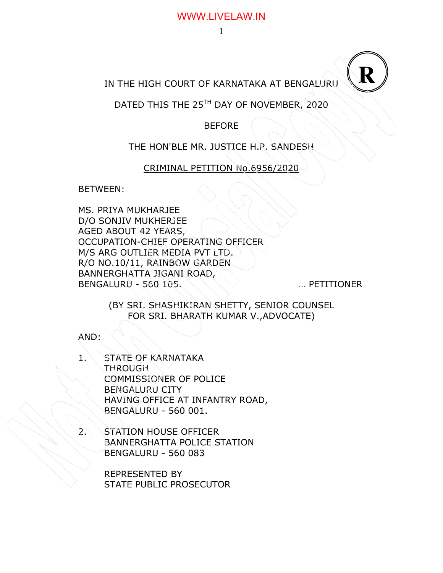### WWW.LIVELAW.IN

# IN THE HIGH COURT OF KARNATAKA AT BENGALURU

# DATED THIS THE 25<sup>TH</sup> DAY OF NOVEMBER, 2020

## BEFORE

## THE HON'BLE MR. JUSTICE H.P. SANDESH

## CRIMINAL PETITION No.6956/2020

BETWEEN:

MS. PRIYA MUKHARJEE D/O SONJIV MUKHERJEE AGED ABOUT 42 YEARS, OCCUPATION-CHIEF OPERATING OFFICER M/S ARG OUTLIER MEDIA PVT LTD. R/O NO.10/11, RAINBOW GARDEN BANNERGHATTA JIGANI ROAD, BENGALURU - 560 105. WILL SERVICE RESERVE THE METITIONER

**R**

(BY SRI. SHASHIKIRAN SHETTY, SENIOR COUNSEL FOR SRI. BHARATH KUMAR V.,ADVOCATE)

AND:

- 1. STATE OF KARNATAKA THROUGH COMMISSIONER OF POLICE BENGALURU CITY HAVING OFFICE AT INFANTRY ROAD, BENGALURU - 560 001.
	- STATION HOUSE OFFICER BANNERGHATTA POLICE STATION BENGALURU - 560 083

REPRESENTED BY STATE PUBLIC PROSECUTOR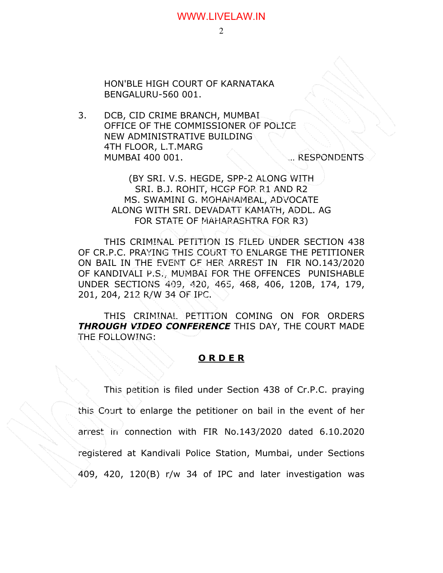### WWW.LIVELAW.IN

HON'BLE HIGH COURT OF KARNATAKA BENGALURU-560 001.

3. DCB, CID CRIME BRANCH, MUMBAI OFFICE OF THE COMMISSIONER OF POLICE NEW ADMINISTRATIVE BUILDING 4TH FLOOR, L.T.MARG MUMBAI 400 001. **WE ARESPONDENTS** 

(BY SRI. V.S. HEGDE, SPP-2 ALONG WITH SRI. B.J. ROHIT, HCGP FOR R1 AND R2 MS. SWAMINI G. MOHANAMBAL, ADVOCATE ALONG WITH SRI. DEVADATT KAMATH, ADDL. AG FOR STATE OF MAHARASHTRA FOR R3)

THIS CRIMINAL PETITION IS FILED UNDER SECTION 438 OF CR.P.C. PRAYING THIS COURT TO ENLARGE THE PETITIONER ON BAIL IN THE EVENT OF HER ARREST IN FIR NO.143/2020 OF KANDIVALI P.S., MUMBAI FOR THE OFFENCES PUNISHABLE UNDER SECTIONS 409, 420, 465, 468, 406, 120B, 174, 179, 201, 204, 212 R/W 34 OF IPC.

THIS CRIMINAL PETITION COMING ON FOR ORDERS *THROUGH VIDEO CONFERENCE* THIS DAY, THE COURT MADE THE FOLLOWING:

#### **O R D E R**

 This petition is filed under Section 438 of Cr.P.C. praying this Court to enlarge the petitioner on bail in the event of her arrest in connection with FIR No.143/2020 dated 6.10.2020 registered at Kandivali Police Station, Mumbai, under Sections 409, 420, 120(B) r/w 34 of IPC and later investigation was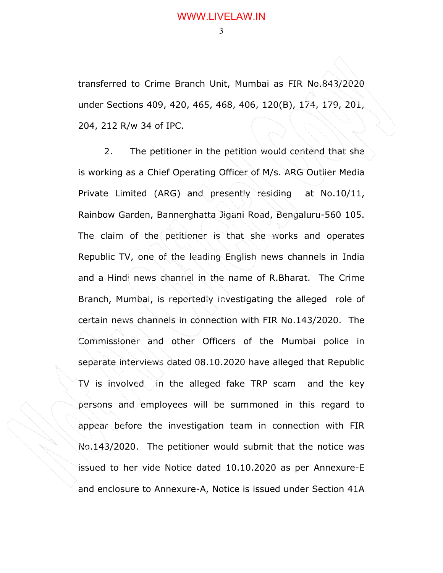transferred to Crime Branch Unit, Mumbai as FIR No.843/2020 under Sections 409, 420, 465, 468, 406, 120(B), 174, 179, 201, 204, 212 R/w 34 of IPC.

 2. The petitioner in the petition would contend that she is working as a Chief Operating Officer of M/s. ARG Outlier Media Private Limited (ARG) and presently residing at No.10/11, Rainbow Garden, Bannerghatta Jigani Road, Bengaluru-560 105. The claim of the petitioner is that she works and operates Republic TV, one of the leading English news channels in India and a Hindi news channel in the name of R.Bharat. The Crime Branch, Mumbai, is reportedly investigating the alleged role of certain news channels in connection with FIR No.143/2020. The Commissioner and other Officers of the Mumbai police in separate interviews dated 08.10.2020 have alleged that Republic TV is involved in the alleged fake TRP scam and the key persons and employees will be summoned in this regard to appear before the investigation team in connection with FIR No.143/2020. The petitioner would submit that the notice was issued to her vide Notice dated 10.10.2020 as per Annexure-E and enclosure to Annexure-A, Notice is issued under Section 41A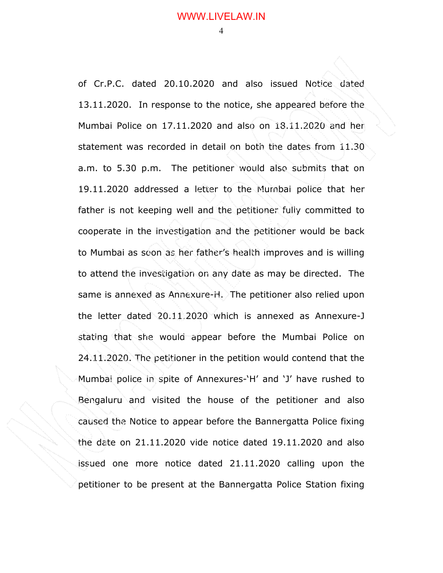of Cr.P.C. dated 20.10.2020 and also issued Notice dated 13.11.2020. In response to the notice, she appeared before the Mumbai Police on 17.11.2020 and also on 18.11.2020 and her statement was recorded in detail on both the dates from 11.30 a.m. to 5.30 p.m. The petitioner would also submits that on 19.11.2020 addressed a letter to the Mumbai police that her father is not keeping well and the petitioner fully committed to cooperate in the investigation and the petitioner would be back to Mumbai as soon as her father's health improves and is willing to attend the investigation on any date as may be directed. The same is annexed as Annexure-H. The petitioner also relied upon the letter dated 20.11.2020 which is annexed as Annexure-J stating that she would appear before the Mumbai Police on 24.11.2020. The petitioner in the petition would contend that the Mumbai police in spite of Annexures-'H' and 'J' have rushed to Bengaluru and visited the house of the petitioner and also caused the Notice to appear before the Bannergatta Police fixing the date on 21.11.2020 vide notice dated 19.11.2020 and also issued one more notice dated 21.11.2020 calling upon the petitioner to be present at the Bannergatta Police Station fixing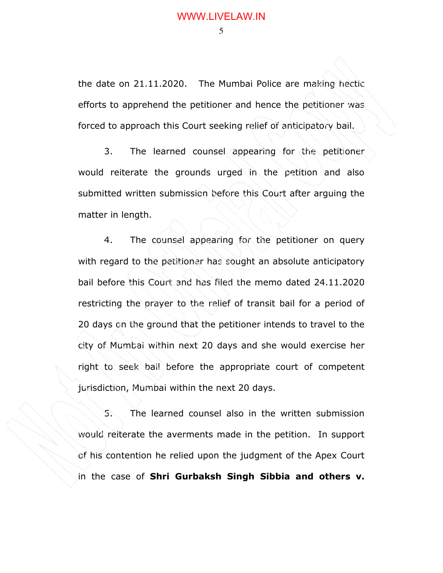$\sim$  5

the date on 21.11.2020. The Mumbai Police are making hectic efforts to apprehend the petitioner and hence the petitioner was forced to approach this Court seeking relief of anticipatory bail.

3. The learned counsel appearing for the petitioner would reiterate the grounds urged in the petition and also submitted written submission before this Court after arguing the matter in length.

4. The counsel appearing for the petitioner on query with regard to the petitioner has sought an absolute anticipatory bail before this Court and has filed the memo dated 24.11.2020 restricting the prayer to the relief of transit bail for a period of 20 days on the ground that the petitioner intends to travel to the city of Mumbai within next 20 days and she would exercise her right to seek bail before the appropriate court of competent jurisdiction, Mumbai within the next 20 days.

5. The learned counsel also in the written submission would reiterate the averments made in the petition. In support of his contention he relied upon the judgment of the Apex Court in the case of **Shri Gurbaksh Singh Sibbia and others v.**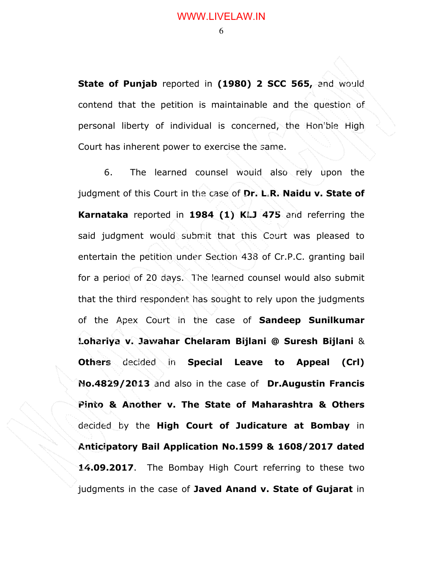$\sim$  6

**State of Punjab** reported in **(1980) 2 SCC 565,** and would contend that the petition is maintainable and the question of personal liberty of individual is concerned, the Hon'ble High Court has inherent power to exercise the same.

6. The learned counsel would also rely upon the judgment of this Court in the case of **Dr. L.R. Naidu v. State of Karnataka** reported in **1984 (1) KLJ 475** and referring the said judgment would submit that this Court was pleased to entertain the petition under Section 438 of Cr.P.C. granting bail for a period of 20 days. The learned counsel would also submit that the third respondent has sought to rely upon the judgments of the Apex Court in the case of **Sandeep Sunilkumar Lohariya v. Jawahar Chelaram Bijlani @ Suresh Bijlani** & **Others** decided in **Special Leave to Appeal (Crl) No.4829/2013** and also in the case of **Dr.Augustin Francis Pinto & Another v. The State of Maharashtra & Others**  decided by the **High Court of Judicature at Bombay** in **Anticipatory Bail Application No.1599 & 1608/2017 dated 14.09.2017**. The Bombay High Court referring to these two judgments in the case of **Javed Anand v. State of Gujarat** in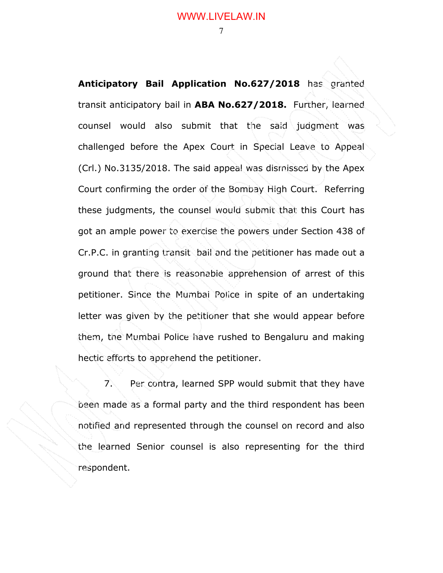**Anticipatory Bail Application No.627/2018** has granted transit anticipatory bail in **ABA No.627/2018.** Further, learned counsel would also submit that the said judgment was challenged before the Apex Court in Special Leave to Appeal (Crl.) No.3135/2018. The said appeal was dismissed by the Apex Court confirming the order of the Bombay High Court. Referring these judgments, the counsel would submit that this Court has got an ample power to exercise the powers under Section 438 of Cr.P.C. in granting transit bail and the petitioner has made out a ground that there is reasonable apprehension of arrest of this petitioner. Since the Mumbai Police in spite of an undertaking letter was given by the petitioner that she would appear before them, the Mumbai Police have rushed to Bengaluru and making hectic efforts to apprehend the petitioner.

7. Per contra, learned SPP would submit that they have been made as a formal party and the third respondent has been notified and represented through the counsel on record and also the learned Senior counsel is also representing for the third respondent.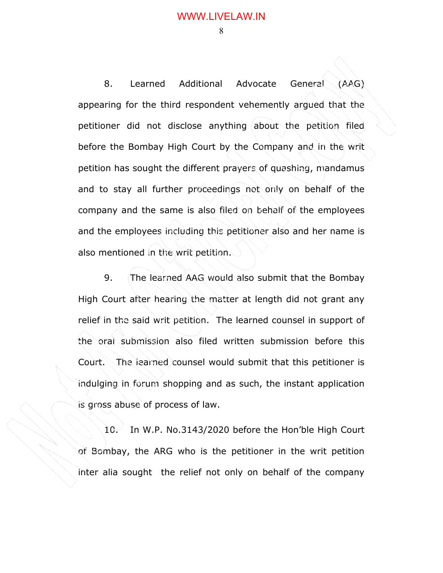### WWW.LIVELAW.IN

8

8. Learned Additional Advocate General (AAG) appearing for the third respondent vehemently argued that the petitioner did not disclose anything about the petition filed before the Bombay High Court by the Company and in the writ petition has sought the different prayers of quashing, mandamus and to stay all further proceedings not only on behalf of the company and the same is also filed on behalf of the employees and the employees including this petitioner also and her name is also mentioned in the writ petition.

9. The learned AAG would also submit that the Bombay High Court after hearing the matter at length did not grant any relief in the said writ petition. The learned counsel in support of the oral submission also filed written submission before this Court. The learned counsel would submit that this petitioner is indulging in forum shopping and as such, the instant application is gross abuse of process of law.

10. In W.P. No.3143/2020 before the Hon'ble High Court of Bombay, the ARG who is the petitioner in the writ petition inter alia sought the relief not only on behalf of the company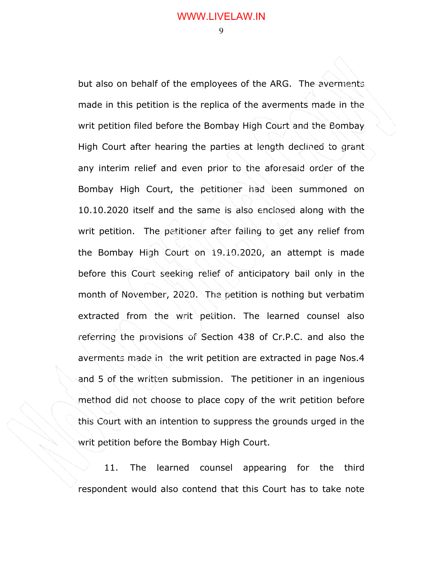9 and 2012 and 30 and 30 and 30 and 30 and 30 and 30 and 30 and 30 and 30 and 30 and 30 and 30 and 30 and 30 a

but also on behalf of the employees of the ARG. The averments made in this petition is the replica of the averments made in the writ petition filed before the Bombay High Court and the Bombay High Court after hearing the parties at length declined to grant any interim relief and even prior to the aforesaid order of the Bombay High Court, the petitioner had been summoned on 10.10.2020 itself and the same is also enclosed along with the writ petition. The petitioner after failing to get any relief from the Bombay High Court on 19.10.2020, an attempt is made before this Court seeking relief of anticipatory bail only in the month of November, 2020. The petition is nothing but verbatim extracted from the writ petition. The learned counsel also referring the provisions of Section 438 of Cr.P.C. and also the averments made in the writ petition are extracted in page Nos.4 and 5 of the written submission. The petitioner in an ingenious method did not choose to place copy of the writ petition before this Court with an intention to suppress the grounds urged in the writ petition before the Bombay High Court.

11. The learned counsel appearing for the third respondent would also contend that this Court has to take note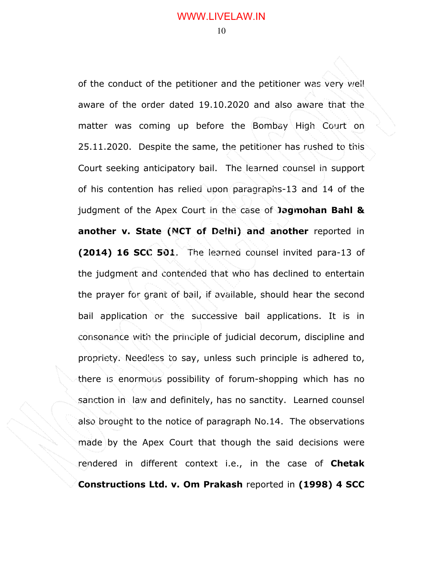of the conduct of the petitioner and the petitioner was very well aware of the order dated 19.10.2020 and also aware that the matter was coming up before the Bombay High Court on 25.11.2020. Despite the same, the petitioner has rushed to this Court seeking anticipatory bail. The learned counsel in support of his contention has relied upon paragraphs-13 and 14 of the judgment of the Apex Court in the case of **Jagmohan Bahl & another v. State (NCT of Delhi) and another** reported in **(2014) 16 SCC 501**. The learned counsel invited para-13 of the judgment and contended that who has declined to entertain the prayer for grant of bail, if available, should hear the second bail application or the successive bail applications. It is in consonance with the principle of judicial decorum, discipline and propriety. Needless to say, unless such principle is adhered to, there is enormous possibility of forum-shopping which has no sanction in law and definitely, has no sanctity. Learned counsel also brought to the notice of paragraph No.14. The observations made by the Apex Court that though the said decisions were rendered in different context i.e., in the case of **Chetak Constructions Ltd. v. Om Prakash** reported in **(1998) 4 SCC**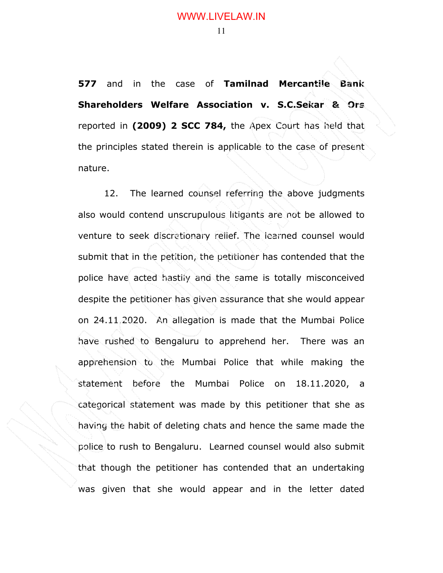**577** and in the case of **Tamilnad Mercantile Bank Shareholders Welfare Association v. S.C.Sekar & Ors** reported in **(2009) 2 SCC 784,** the Apex Court has held that the principles stated therein is applicable to the case of present nature.

12. The learned counsel referring the above judgments also would contend unscrupulous litigants are not be allowed to venture to seek discretionary relief. The learned counsel would submit that in the petition, the petitioner has contended that the police have acted hastily and the same is totally misconceived despite the petitioner has given assurance that she would appear on 24.11.2020. An allegation is made that the Mumbai Police have rushed to Bengaluru to apprehend her. There was an apprehension to the Mumbai Police that while making the statement before the Mumbai Police on 18.11.2020, a categorical statement was made by this petitioner that she as having the habit of deleting chats and hence the same made the police to rush to Bengaluru. Learned counsel would also submit that though the petitioner has contended that an undertaking was given that she would appear and in the letter dated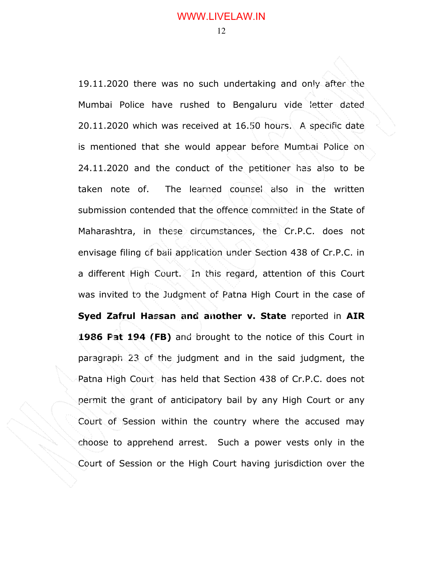19.11.2020 there was no such undertaking and only after the Mumbai Police have rushed to Bengaluru vide letter dated 20.11.2020 which was received at 16.50 hours. A specific date is mentioned that she would appear before Mumbai Police on 24.11.2020 and the conduct of the petitioner has also to be taken note of. The learned counsel also in the written submission contended that the offence committed in the State of Maharashtra, in these circumstances, the Cr.P.C. does not envisage filing of bail application under Section 438 of Cr.P.C. in a different High Court. In this regard, attention of this Court was invited to the Judgment of Patna High Court in the case of **Syed Zafrul Hassan and another v. State** reported in **AIR 1986 Pat 194 (FB)** and brought to the notice of this Court in paragraph 23 of the judgment and in the said judgment, the Patna High Court has held that Section 438 of Cr.P.C. does not permit the grant of anticipatory bail by any High Court or any Court of Session within the country where the accused may choose to apprehend arrest. Such a power vests only in the Court of Session or the High Court having jurisdiction over the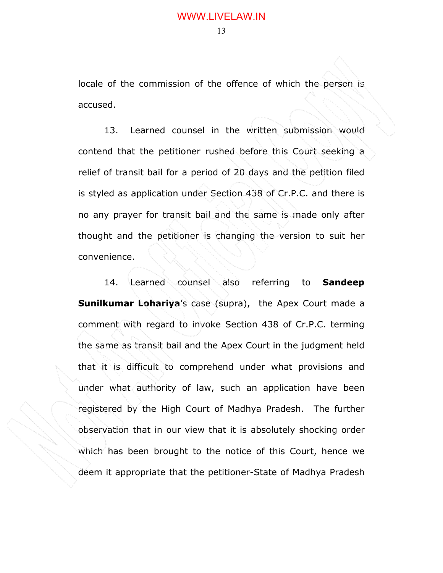locale of the commission of the offence of which the person is accused.

13. Learned counsel in the written submission would contend that the petitioner rushed before this Court seeking a relief of transit bail for a period of 20 days and the petition filed is styled as application under Section 438 of Cr.P.C. and there is no any prayer for transit bail and the same is made only after thought and the petitioner is changing the version to suit her convenience.

14. Learned counsel also referring to **Sandeep Sunilkumar Lohariya**'s case (supra), the Apex Court made a comment with regard to invoke Section 438 of Cr.P.C. terming the same as transit bail and the Apex Court in the judgment held that it is difficult to comprehend under what provisions and under what authority of law, such an application have been registered by the High Court of Madhya Pradesh. The further observation that in our view that it is absolutely shocking order which has been brought to the notice of this Court, hence we deem it appropriate that the petitioner-State of Madhya Pradesh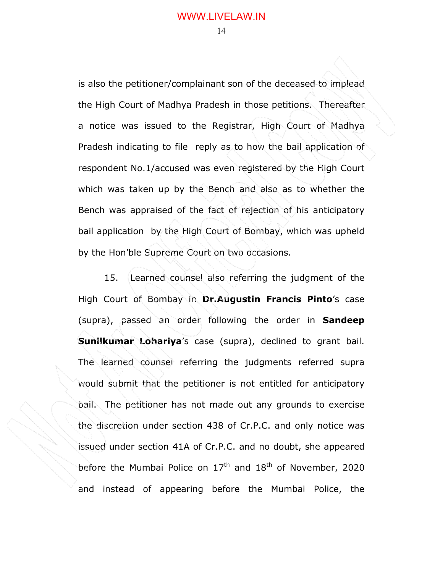is also the petitioner/complainant son of the deceased to implead the High Court of Madhya Pradesh in those petitions. Thereafter a notice was issued to the Registrar, High Court of Madhya Pradesh indicating to file reply as to how the bail application of respondent No.1/accused was even registered by the High Court which was taken up by the Bench and also as to whether the Bench was appraised of the fact of rejection of his anticipatory bail application by the High Court of Bombay, which was upheld by the Hon'ble Supreme Court on two occasions.

15. Learned counsel also referring the judgment of the High Court of Bombay in **Dr.Augustin Francis Pinto**'s case (supra), passed an order following the order in **Sandeep Sunilkumar Lohariya**'s case (supra), declined to grant bail. The learned counsel referring the judgments referred supra would submit that the petitioner is not entitled for anticipatory bail. The petitioner has not made out any grounds to exercise the discretion under section 438 of Cr.P.C. and only notice was issued under section 41A of Cr.P.C. and no doubt, she appeared before the Mumbai Police on  $17<sup>th</sup>$  and  $18<sup>th</sup>$  of November, 2020 and instead of appearing before the Mumbai Police, the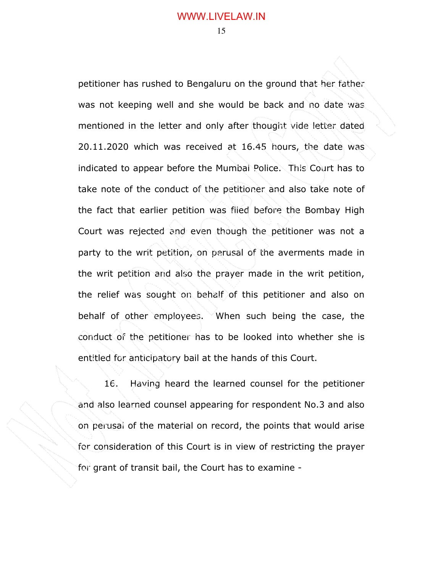petitioner has rushed to Bengaluru on the ground that her father was not keeping well and she would be back and no date was mentioned in the letter and only after thought vide letter dated 20.11.2020 which was received at 16.45 hours, the date was indicated to appear before the Mumbai Police. This Court has to take note of the conduct of the petitioner and also take note of the fact that earlier petition was filed before the Bombay High Court was rejected and even though the petitioner was not a party to the writ petition, on perusal of the averments made in the writ petition and also the prayer made in the writ petition, the relief was sought on behalf of this petitioner and also on behalf of other employees. When such being the case, the conduct of the petitioner has to be looked into whether she is entitled for anticipatory bail at the hands of this Court.

16. Having heard the learned counsel for the petitioner and also learned counsel appearing for respondent No.3 and also on perusal of the material on record, the points that would arise for consideration of this Court is in view of restricting the prayer for grant of transit bail, the Court has to examine -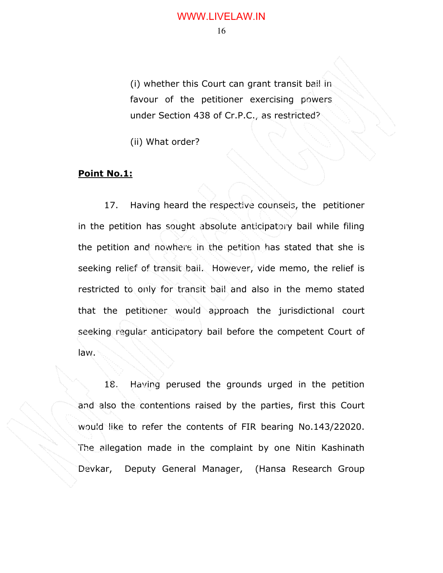(i) whether this Court can grant transit bail in favour of the petitioner exercising powers under Section 438 of Cr.P.C., as restricted?

(ii) What order?

### **Point No.1:**

17. Having heard the respective counsels, the petitioner in the petition has sought absolute anticipatory bail while filing the petition and nowhere in the petition has stated that she is seeking relief of transit bail. However, vide memo, the relief is restricted to only for transit bail and also in the memo stated that the petitioner would approach the jurisdictional court seeking regular anticipatory bail before the competent Court of law.

18. Having perused the grounds urged in the petition and also the contentions raised by the parties, first this Court would like to refer the contents of FIR bearing No.143/22020. The allegation made in the complaint by one Nitin Kashinath Devkar, Deputy General Manager, (Hansa Research Group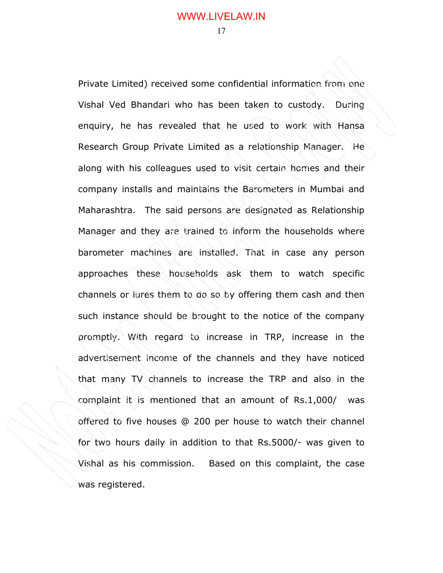Private Limited) received some confidential information from one Vishal Ved Bhandari who has been taken to custody. During enquiry, he has revealed that he used to work with Hansa Research Group Private Limited as a relationship Manager. He along with his colleagues used to visit certain homes and their company installs and maintains the Barometers in Mumbai and Maharashtra. The said persons are designated as Relationship Manager and they are trained to inform the households where barometer machines are installed. That in case any person approaches these households ask them to watch specific channels or lures them to do so by offering them cash and then such instance should be brought to the notice of the company promptly. With regard to increase in TRP, increase in the advertisement income of the channels and they have noticed that many TV channels to increase the TRP and also in the complaint it is mentioned that an amount of Rs.1,000/ was offered to five houses @ 200 per house to watch their channel for two hours daily in addition to that Rs.5000/- was given to Vishal as his commission. Based on this complaint, the case was registered.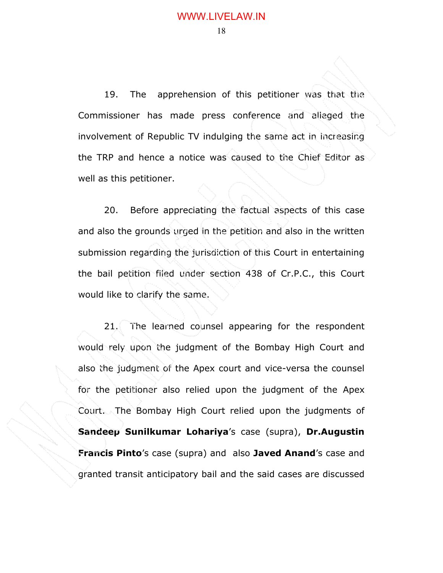19. The apprehension of this petitioner was that the Commissioner has made press conference and alleged the involvement of Republic TV indulging the same act in increasing the TRP and hence a notice was caused to the Chief Editor as well as this petitioner.

20. Before appreciating the factual aspects of this case and also the grounds urged in the petition and also in the written submission regarding the jurisdiction of this Court in entertaining the bail petition filed under section 438 of Cr.P.C., this Court would like to clarify the same.

21. The learned counsel appearing for the respondent would rely upon the judgment of the Bombay High Court and also the judgment of the Apex court and vice-versa the counsel for the petitioner also relied upon the judgment of the Apex Court. The Bombay High Court relied upon the judgments of **Sandeep Sunilkumar Lohariya**'s case (supra), **Dr.Augustin Francis Pinto**'s case (supra) and also **Javed Anand**'s case and granted transit anticipatory bail and the said cases are discussed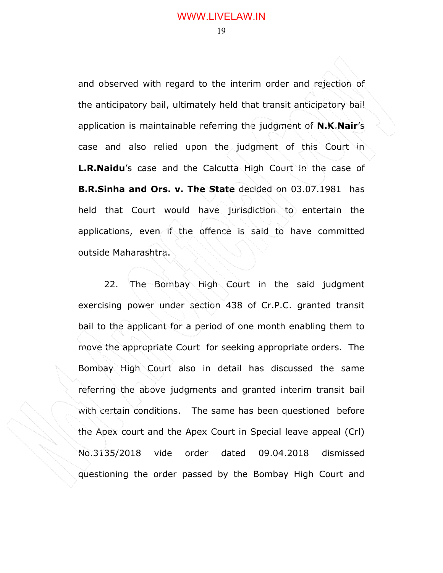and observed with regard to the interim order and rejection of the anticipatory bail, ultimately held that transit anticipatory bail application is maintainable referring the judgment of **N.K.Nair**'s case and also relied upon the judgment of this Court in **L.R.Naidu**'s case and the Calcutta High Court in the case of **B.R.Sinha and Ors. v. The State** decided on 03.07.1981 has held that Court would have jurisdiction to entertain the applications, even if the offence is said to have committed outside Maharashtra.

22. The Bombay High Court in the said judgment exercising power under section 438 of Cr.P.C. granted transit bail to the applicant for a period of one month enabling them to move the appropriate Court for seeking appropriate orders. The Bombay High Court also in detail has discussed the same referring the above judgments and granted interim transit bail with certain conditions. The same has been questioned before the Apex court and the Apex Court in Special leave appeal (Crl) No.3135/2018 vide order dated 09.04.2018 dismissed questioning the order passed by the Bombay High Court and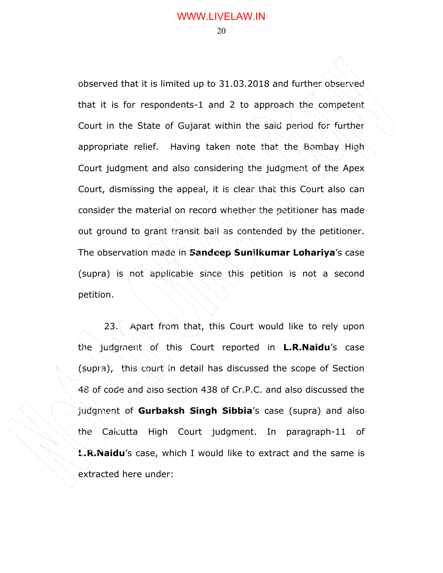observed that it is limited up to 31.03.2018 and further observed that it is for respondents-1 and 2 to approach the competent Court in the State of Gujarat within the said period for further appropriate relief. Having taken note that the Bombay High Court judgment and also considering the judgment of the Apex Court, dismissing the appeal, it is clear that this Court also can consider the material on record whether the petitioner has made out ground to grant transit bail as contended by the petitioner. The observation made in **Sandeep Sunilkumar Lohariya**'s case (supra) is not applicable since this petition is not a second petition.

23. Apart from that, this Court would like to rely upon the judgment of this Court reported in **L.R.Naidu**'s case (supra), this court in detail has discussed the scope of Section 48 of code and also section 438 of Cr.P.C. and also discussed the judgment of **Gurbaksh Singh Sibbia**'s case (supra) and also the Calcutta High Court judgment. In paragraph-11 of **L.R.Naidu**'s case, which I would like to extract and the same is extracted here under: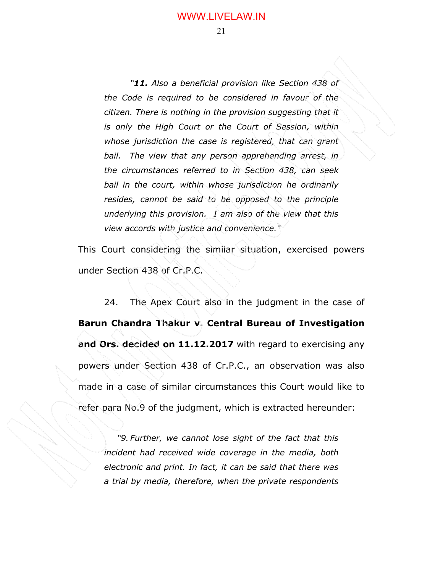#### WWW.LIVELAW.IN

21

*"11. Also a beneficial provision like Section 438 of the Code is required to be considered in favour of the citizen. There is nothing in the provision suggesting that it is only the High Court or the Court of Session, within whose jurisdiction the case is registered, that can grant bail. The view that any person apprehending arrest, in the circumstances referred to in Section 438, can seek bail in the court, within whose jurisdiction he ordinarily resides, cannot be said to be opposed to the principle underlying this provision. I am also of the view that this view accords with justice and convenience."* 

This Court considering the similar situation, exercised powers under Section 438 of Cr.P.C.

 24. The Apex Court also in the judgment in the case of **Barun Chandra Thakur v. Central Bureau of Investigation and Ors. decided on 11.12.2017** with regard to exercising any powers under Section 438 of Cr.P.C., an observation was also made in a case of similar circumstances this Court would like to refer para No.9 of the judgment, which is extracted hereunder:

*"9. Further, we cannot lose sight of the fact that this incident had received wide coverage in the media, both electronic and print. In fact, it can be said that there was a trial by media, therefore, when the private respondents*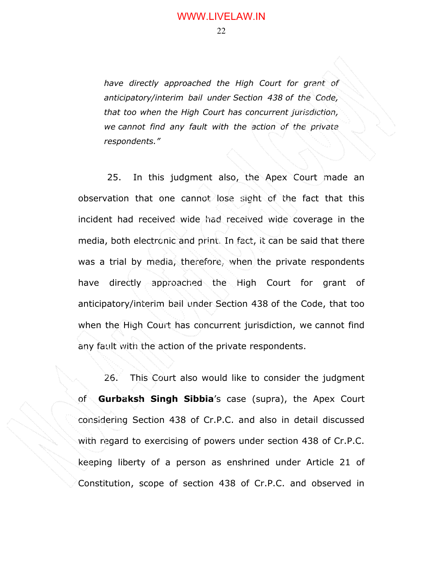*have directly approached the High Court for grant of anticipatory/interim bail under Section 438 of the Code, that too when the High Court has concurrent jurisdiction, we cannot find any fault with the action of the private respondents."* 

 25. In this judgment also, the Apex Court made an observation that one cannot lose sight of the fact that this incident had received wide had received wide coverage in the media, both electronic and print. In fact, it can be said that there was a trial by media, therefore, when the private respondents have directly approached the High Court for grant of anticipatory/interim bail under Section 438 of the Code, that too when the High Court has concurrent jurisdiction, we cannot find any fault with the action of the private respondents.

26. This Court also would like to consider the judgment of **Gurbaksh Singh Sibbia**'s case (supra), the Apex Court considering Section 438 of Cr.P.C. and also in detail discussed with regard to exercising of powers under section 438 of Cr.P.C. keeping liberty of a person as enshrined under Article 21 of Constitution, scope of section 438 of Cr.P.C. and observed in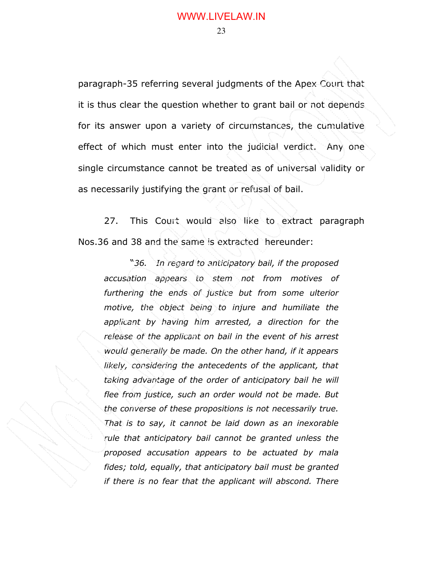paragraph-35 referring several judgments of the Apex Court that it is thus clear the question whether to grant bail or not depends for its answer upon a variety of circumstances, the cumulative effect of which must enter into the judicial verdict. Any one single circumstance cannot be treated as of universal validity or as necessarily justifying the grant or refusal of bail.

27. This Court would also like to extract paragraph Nos.36 and 38 and the same is extracted hereunder:

"*36. In regard to anticipatory bail, if the proposed accusation appears to stem not from motives of furthering the ends of justice but from some ulterior motive, the object being to injure and humiliate the applicant by having him arrested, a direction for the release of the applicant on bail in the event of his arrest would generally be made. On the other hand, if it appears likely, considering the antecedents of the applicant, that taking advantage of the order of anticipatory bail he will flee from justice, such an order would not be made. But the converse of these propositions is not necessarily true. That is to say, it cannot be laid down as an inexorable rule that anticipatory bail cannot be granted unless the proposed accusation appears to be actuated by mala fides; told, equally, that anticipatory bail must be granted if there is no fear that the applicant will abscond. There*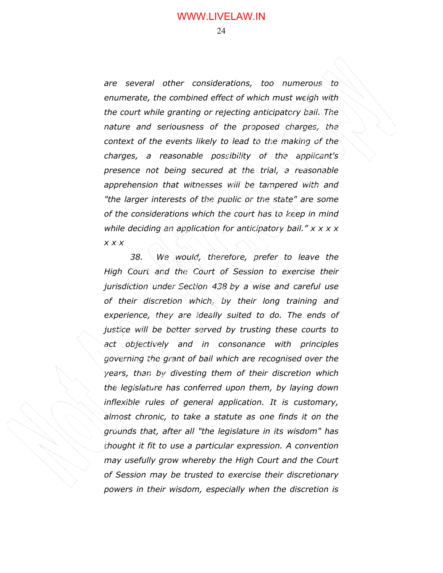*are several other considerations, too numerous to enumerate, the combined effect of which must weigh with the court while granting or rejecting anticipatory bail. The nature and seriousness of the proposed charges, the context of the events likely to lead to the making of the charges, a reasonable possibility of the applicant's presence not being secured at the trial, a reasonable apprehension that witnesses will be tampered with and "the larger interests of the public or the state" are some of the considerations which the court has to keep in mind while deciding an application for anticipatory bail." x x x x x x x* 

*38. We would, therefore, prefer to leave the High Court and the Court of Session to exercise their jurisdiction under Section 438 by a wise and careful use of their discretion which, by their long training and experience, they are ideally suited to do. The ends of justice will be better served by trusting these courts to act objectively and in consonance with principles governing the grant of bail which are recognised over the years, than by divesting them of their discretion which the legislature has conferred upon them, by laying down inflexible rules of general application. It is customary, almost chronic, to take a statute as one finds it on the grounds that, after all "the legislature in its wisdom" has thought it fit to use a particular expression. A convention may usefully grow whereby the High Court and the Court of Session may be trusted to exercise their discretionary powers in their wisdom, especially when the discretion is*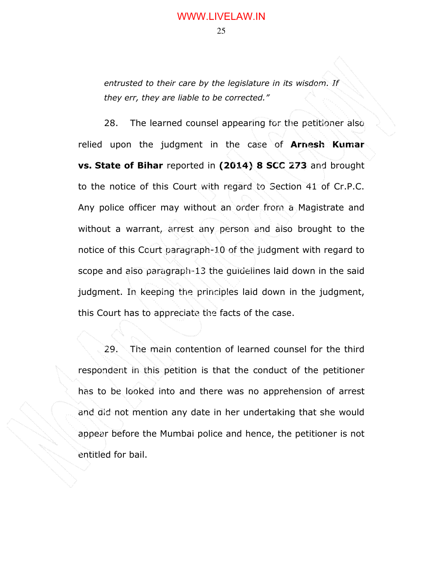*entrusted to their care by the legislature in its wisdom. If they err, they are liable to be corrected."* 

28. The learned counsel appearing for the petitioner also relied upon the judgment in the case of **Arnesh Kumar vs. State of Bihar** reported in **(2014) 8 SCC 273** and brought to the notice of this Court with regard to Section 41 of Cr.P.C. Any police officer may without an order from a Magistrate and without a warrant, arrest any person and also brought to the notice of this Court paragraph-10 of the judgment with regard to scope and also paragraph-13 the guidelines laid down in the said judgment. In keeping the principles laid down in the judgment, this Court has to appreciate the facts of the case.

 29. The main contention of learned counsel for the third respondent in this petition is that the conduct of the petitioner has to be looked into and there was no apprehension of arrest and did not mention any date in her undertaking that she would appear before the Mumbai police and hence, the petitioner is not entitled for bail.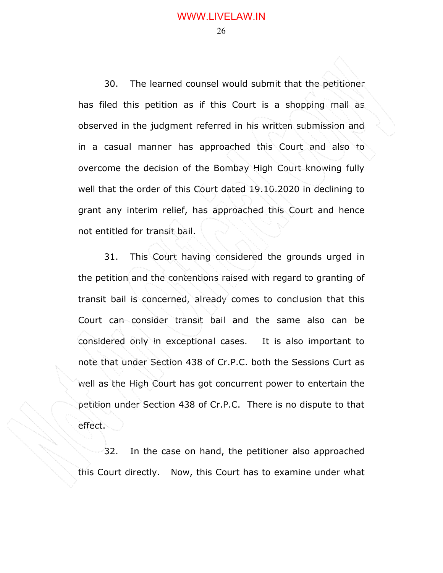## WWW.LIVELAW.IN

26

30. The learned counsel would submit that the petitioner has filed this petition as if this Court is a shopping mall as observed in the judgment referred in his written submission and in a casual manner has approached this Court and also to overcome the decision of the Bombay High Court knowing fully well that the order of this Court dated 19.10.2020 in declining to grant any interim relief, has approached this Court and hence not entitled for transit bail.

 31. This Court having considered the grounds urged in the petition and the contentions raised with regard to granting of transit bail is concerned, already comes to conclusion that this Court can consider transit bail and the same also can be considered only in exceptional cases. It is also important to note that under Section 438 of Cr.P.C. both the Sessions Curt as well as the High Court has got concurrent power to entertain the petition under Section 438 of Cr.P.C. There is no dispute to that effect.

 32. In the case on hand, the petitioner also approached this Court directly. Now, this Court has to examine under what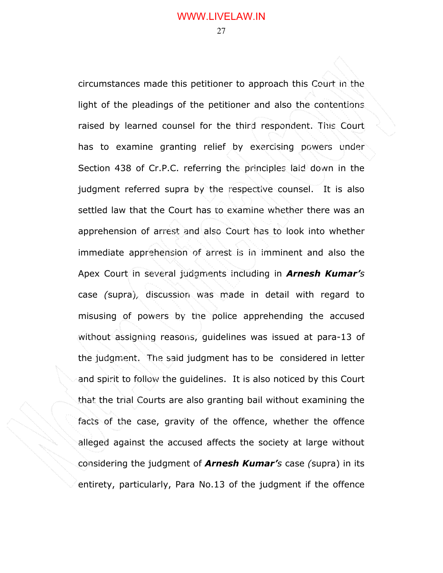circumstances made this petitioner to approach this Court in the light of the pleadings of the petitioner and also the contentions raised by learned counsel for the third respondent. This Court has to examine granting relief by exercising powers under Section 438 of Cr.P.C. referring the principles laid down in the judgment referred supra by the respective counsel. It is also settled law that the Court has to examine whether there was an apprehension of arrest and also Court has to look into whether immediate apprehension of arrest is in imminent and also the Apex Court in several judgments including in *Arnesh Kumar's*  case *(*supra)*,* discussion was made in detail with regard to misusing of powers by the police apprehending the accused without assigning reasons, guidelines was issued at para-13 of the judgment. The said judgment has to be considered in letter and spirit to follow the guidelines. It is also noticed by this Court that the trial Courts are also granting bail without examining the facts of the case, gravity of the offence, whether the offence alleged against the accused affects the society at large without considering the judgment of *Arnesh Kumar's* case *(*supra) in its entirety, particularly, Para No.13 of the judgment if the offence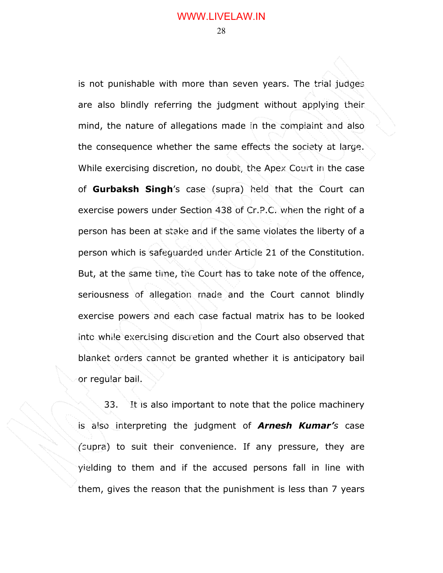is not punishable with more than seven years. The trial judges are also blindly referring the judgment without applying their mind, the nature of allegations made in the complaint and also the consequence whether the same effects the society at large. While exercising discretion, no doubt, the Apex Court in the case of **Gurbaksh Singh**'s case (supra) held that the Court can exercise powers under Section 438 of Cr.P.C. when the right of a person has been at stake and if the same violates the liberty of a person which is safeguarded under Article 21 of the Constitution. But, at the same time, the Court has to take note of the offence, seriousness of allegation made and the Court cannot blindly exercise powers and each case factual matrix has to be looked into while exercising discretion and the Court also observed that blanket orders cannot be granted whether it is anticipatory bail or regular bail.

33. It is also important to note that the police machinery is also interpreting the judgment of *Arnesh Kumar's* case *(*supra) to suit their convenience. If any pressure, they are yielding to them and if the accused persons fall in line with them, gives the reason that the punishment is less than 7 years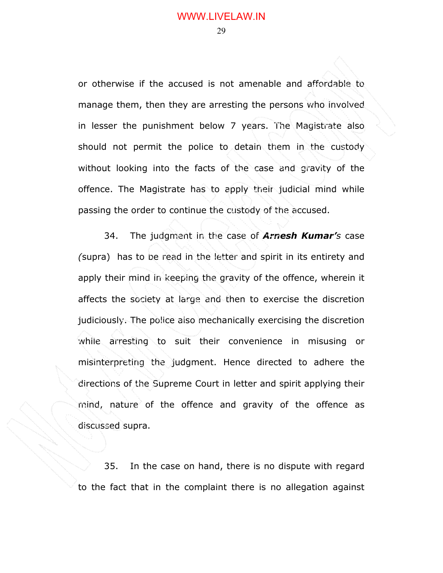or otherwise if the accused is not amenable and affordable to manage them, then they are arresting the persons who involved in lesser the punishment below 7 years. The Magistrate also should not permit the police to detain them in the custody without looking into the facts of the case and gravity of the offence. The Magistrate has to apply their judicial mind while passing the order to continue the custody of the accused.

34. The judgment in the case of *Arnesh Kumar's* case *(*supra) has to be read in the letter and spirit in its entirety and apply their mind in keeping the gravity of the offence, wherein it affects the society at large and then to exercise the discretion judiciously. The police also mechanically exercising the discretion while arresting to suit their convenience in misusing or misinterpreting the judgment. Hence directed to adhere the directions of the Supreme Court in letter and spirit applying their mind, nature of the offence and gravity of the offence as discussed supra.

35. In the case on hand, there is no dispute with regard to the fact that in the complaint there is no allegation against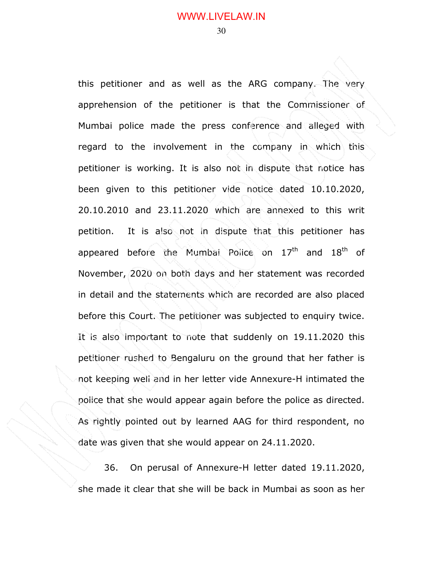this petitioner and as well as the ARG company. The very apprehension of the petitioner is that the Commissioner of Mumbai police made the press conference and alleged with regard to the involvement in the company in which this petitioner is working. It is also not in dispute that notice has been given to this petitioner vide notice dated 10.10.2020, 20.10.2010 and 23.11.2020 which are annexed to this writ petition. It is also not in dispute that this petitioner has appeared before the Mumbai Police on 17<sup>th</sup> and 18<sup>th</sup> of November, 2020 on both days and her statement was recorded in detail and the statements which are recorded are also placed before this Court. The petitioner was subjected to enquiry twice. It is also important to note that suddenly on 19.11.2020 this petitioner rushed to Bengaluru on the ground that her father is not keeping well and in her letter vide Annexure-H intimated the police that she would appear again before the police as directed. As rightly pointed out by learned AAG for third respondent, no date was given that she would appear on 24.11.2020.

36. On perusal of Annexure-H letter dated 19.11.2020, she made it clear that she will be back in Mumbai as soon as her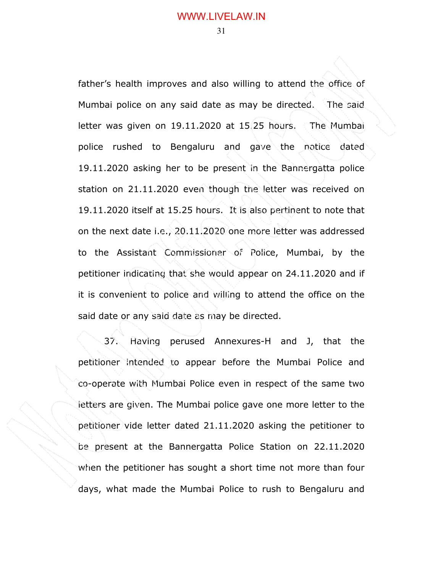father's health improves and also willing to attend the office of Mumbai police on any said date as may be directed. The said letter was given on 19.11.2020 at 15.25 hours. The Mumbai police rushed to Bengaluru and gave the notice dated 19.11.2020 asking her to be present in the Bannergatta police station on 21.11.2020 even though the letter was received on 19.11.2020 itself at 15.25 hours. It is also pertinent to note that on the next date i.e., 20.11.2020 one more letter was addressed to the Assistant Commissioner of Police, Mumbai, by the petitioner indicating that she would appear on 24.11.2020 and if it is convenient to police and willing to attend the office on the said date or any said date as may be directed.

37. Having perused Annexures-H and J, that the petitioner intended to appear before the Mumbai Police and co-operate with Mumbai Police even in respect of the same two letters are given. The Mumbai police gave one more letter to the petitioner vide letter dated 21.11.2020 asking the petitioner to be present at the Bannergatta Police Station on 22.11.2020 when the petitioner has sought a short time not more than four days, what made the Mumbai Police to rush to Bengaluru and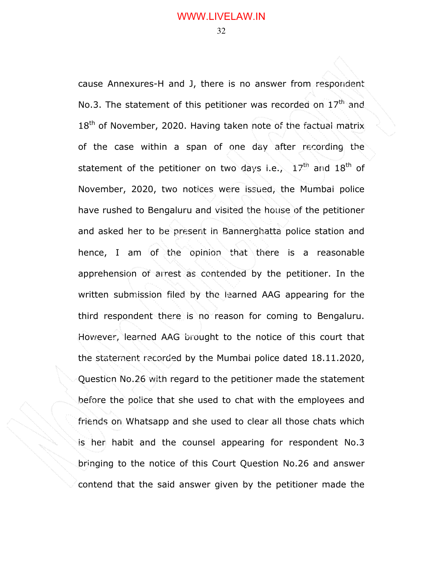cause Annexures-H and J, there is no answer from respondent No.3. The statement of this petitioner was recorded on  $17<sup>th</sup>$  and 18<sup>th</sup> of November, 2020. Having taken note of the factual matrix of the case within a span of one day after recording the statement of the petitioner on two days i.e.,  $17<sup>th</sup>$  and  $18<sup>th</sup>$  of November, 2020, two notices were issued, the Mumbai police have rushed to Bengaluru and visited the house of the petitioner and asked her to be present in Bannerghatta police station and hence, I am of the opinion that there is a reasonable apprehension of arrest as contended by the petitioner. In the written submission filed by the learned AAG appearing for the third respondent there is no reason for coming to Bengaluru. However, learned AAG brought to the notice of this court that the statement recorded by the Mumbai police dated 18.11.2020, Question No.26 with regard to the petitioner made the statement before the police that she used to chat with the employees and friends on Whatsapp and she used to clear all those chats which is her habit and the counsel appearing for respondent No.3 bringing to the notice of this Court Question No.26 and answer contend that the said answer given by the petitioner made the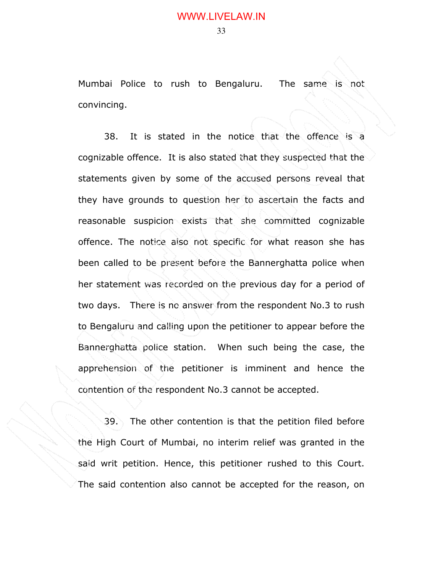Mumbai Police to rush to Bengaluru. The same is not convincing.

38. It is stated in the notice that the offence is a cognizable offence. It is also stated that they suspected that the statements given by some of the accused persons reveal that they have grounds to question her to ascertain the facts and reasonable suspicion exists that she committed cognizable offence. The notice also not specific for what reason she has been called to be present before the Bannerghatta police when her statement was recorded on the previous day for a period of two days. There is no answer from the respondent No.3 to rush to Bengaluru and calling upon the petitioner to appear before the Bannerghatta police station. When such being the case, the apprehension of the petitioner is imminent and hence the contention of the respondent No.3 cannot be accepted.

39. The other contention is that the petition filed before the High Court of Mumbai, no interim relief was granted in the said writ petition. Hence, this petitioner rushed to this Court. The said contention also cannot be accepted for the reason, on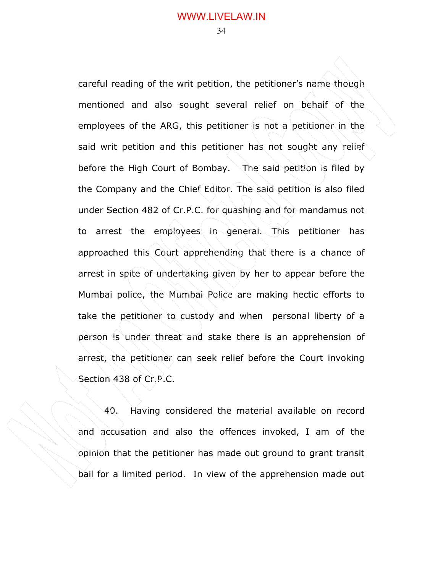careful reading of the writ petition, the petitioner's name though mentioned and also sought several relief on behalf of the employees of the ARG, this petitioner is not a petitioner in the said writ petition and this petitioner has not sought any relief before the High Court of Bombay. The said petition is filed by the Company and the Chief Editor. The said petition is also filed under Section 482 of Cr.P.C. for quashing and for mandamus not to arrest the employees in general. This petitioner has approached this Court apprehending that there is a chance of arrest in spite of undertaking given by her to appear before the Mumbai police, the Mumbai Police are making hectic efforts to take the petitioner to custody and when personal liberty of a person is under threat and stake there is an apprehension of arrest, the petitioner can seek relief before the Court invoking Section 438 of Cr.P.C.

40. Having considered the material available on record and accusation and also the offences invoked, I am of the opinion that the petitioner has made out ground to grant transit bail for a limited period. In view of the apprehension made out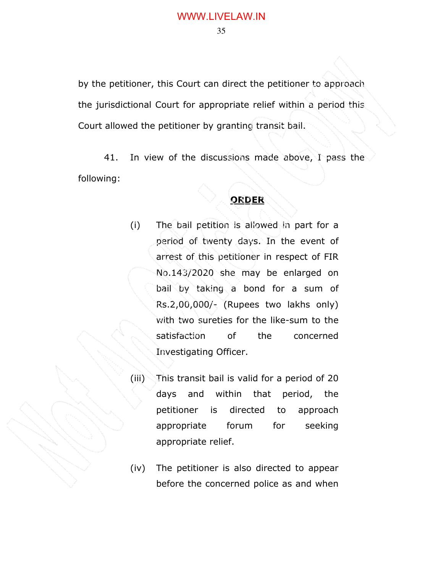by the petitioner, this Court can direct the petitioner to approach the jurisdictional Court for appropriate relief within a period this Court allowed the petitioner by granting transit bail.

41. In view of the discussions made above, I pass the following:

## **ORDER**

- (i) The bail petition is allowed in part for a period of twenty days. In the event of arrest of this petitioner in respect of FIR No.143/2020 she may be enlarged on bail by taking a bond for a sum of Rs.2,00,000/- (Rupees two lakhs only) with two sureties for the like-sum to the satisfaction of the concerned Investigating Officer.
- (iii) This transit bail is valid for a period of 20 days and within that period, the petitioner is directed to approach appropriate forum for seeking appropriate relief.
- (iv) The petitioner is also directed to appear before the concerned police as and when